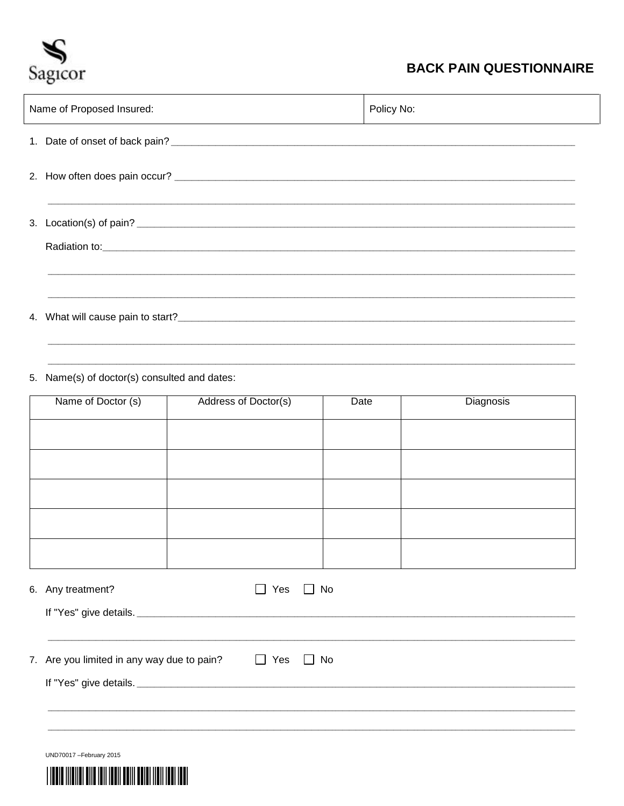

## **BACK PAIN QUESTIONNAIRE**

| Name of Proposed Insured: | Policy No: |
|---------------------------|------------|
|                           |            |
|                           |            |
|                           |            |
|                           |            |
|                           |            |
|                           |            |

5. Name(s) of doctor(s) consulted and dates:

| Name of Doctor (s) | Address of Doctor(s) | Date | Diagnosis |
|--------------------|----------------------|------|-----------|
|                    |                      |      |           |
|                    |                      |      |           |
|                    |                      |      |           |
|                    |                      |      |           |
|                    |                      |      |           |
|                    |                      |      |           |
|                    |                      |      |           |

| 6. Any treatment?                          | Yes    | $\Box$ No |
|--------------------------------------------|--------|-----------|
|                                            |        |           |
|                                            |        |           |
| 7. Are you limited in any way due to pain? | ■ Pres | $\Box$ No |
|                                            |        |           |
|                                            |        |           |
|                                            |        |           |

UND70017-February 2015